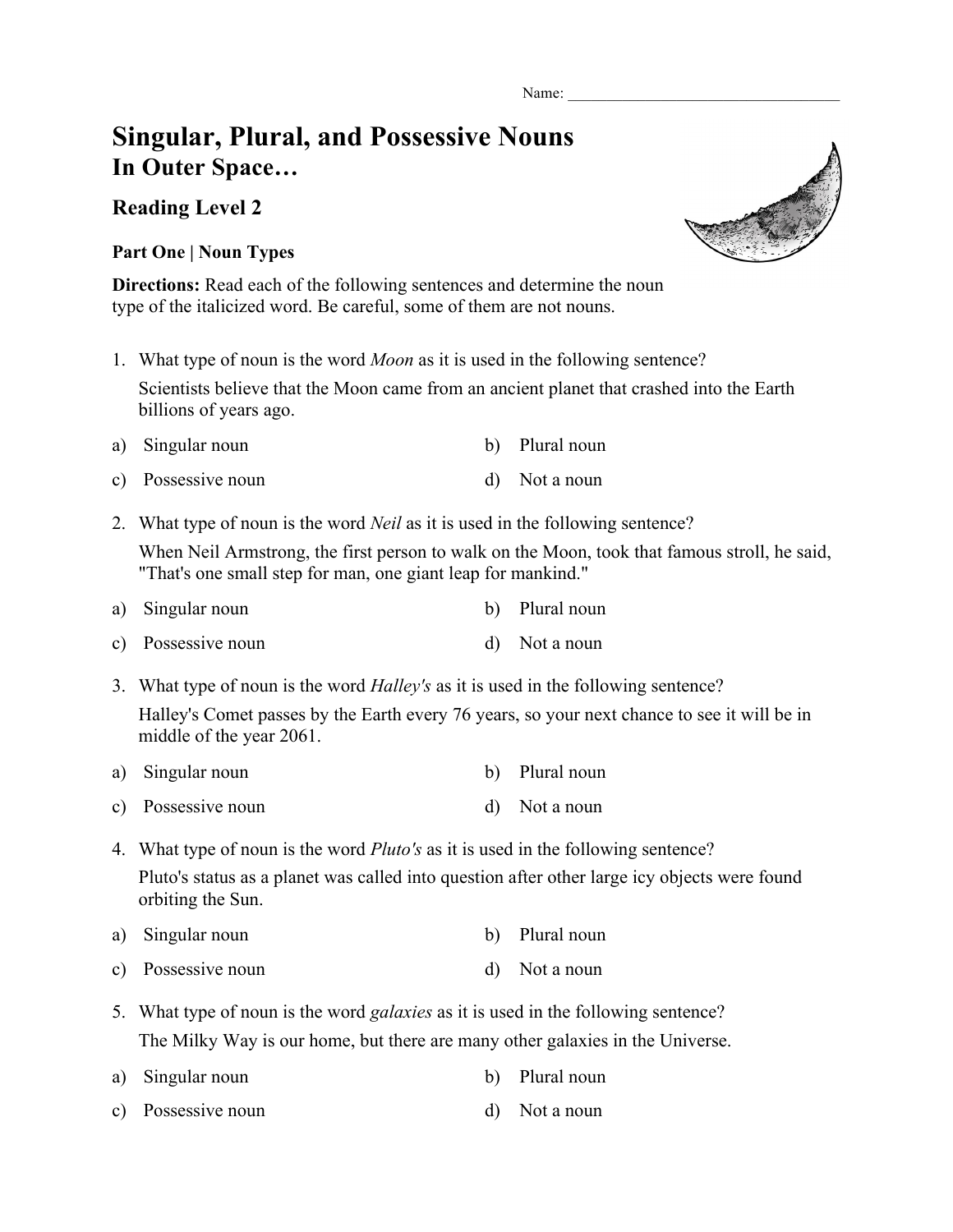Name:

## **Singular, Plural, and Possessive Nouns In Outer Space…**

## **Reading Level 2**

## **Part One | Noun Types**

**Directions:** Read each of the following sentences and determine the noun type of the italicized word. Be careful, some of them are not nouns.

- 1. What type of noun is the word *Moon* as it is used in the following sentence? Scientists believe that the Moon came from an ancient planet that crashed into the Earth billions of years ago.
- a) Singular noun b) Plural noun c) Possessive noun d) Not a noun
- 2. What type of noun is the word *Neil* as it is used in the following sentence?

When Neil Armstrong, the first person to walk on the Moon, took that famous stroll, he said, "That's one small step for man, one giant leap for mankind."

- a) Singular noun b) Plural noun c) Possessive noun d) Not a noun
- 3. What type of noun is the word *Halley's* as it is used in the following sentence? Halley's Comet passes by the Earth every 76 years, so your next chance to see it will be in middle of the year 2061.
- a) Singular noun b) Plural noun
- c) Possessive noun d) Not a noun
- 4. What type of noun is the word *Pluto's* as it is used in the following sentence? Pluto's status as a planet was called into question after other large icy objects were found orbiting the Sun.
- a) Singular noun b) Plural noun
- c) Possessive noun d) Not a noun
- 5. What type of noun is the word *galaxies* as it is used in the following sentence? The Milky Way is our home, but there are many other galaxies in the Universe.
- a) Singular noun b) Plural noun
- c) Possessive noun d) Not a noun

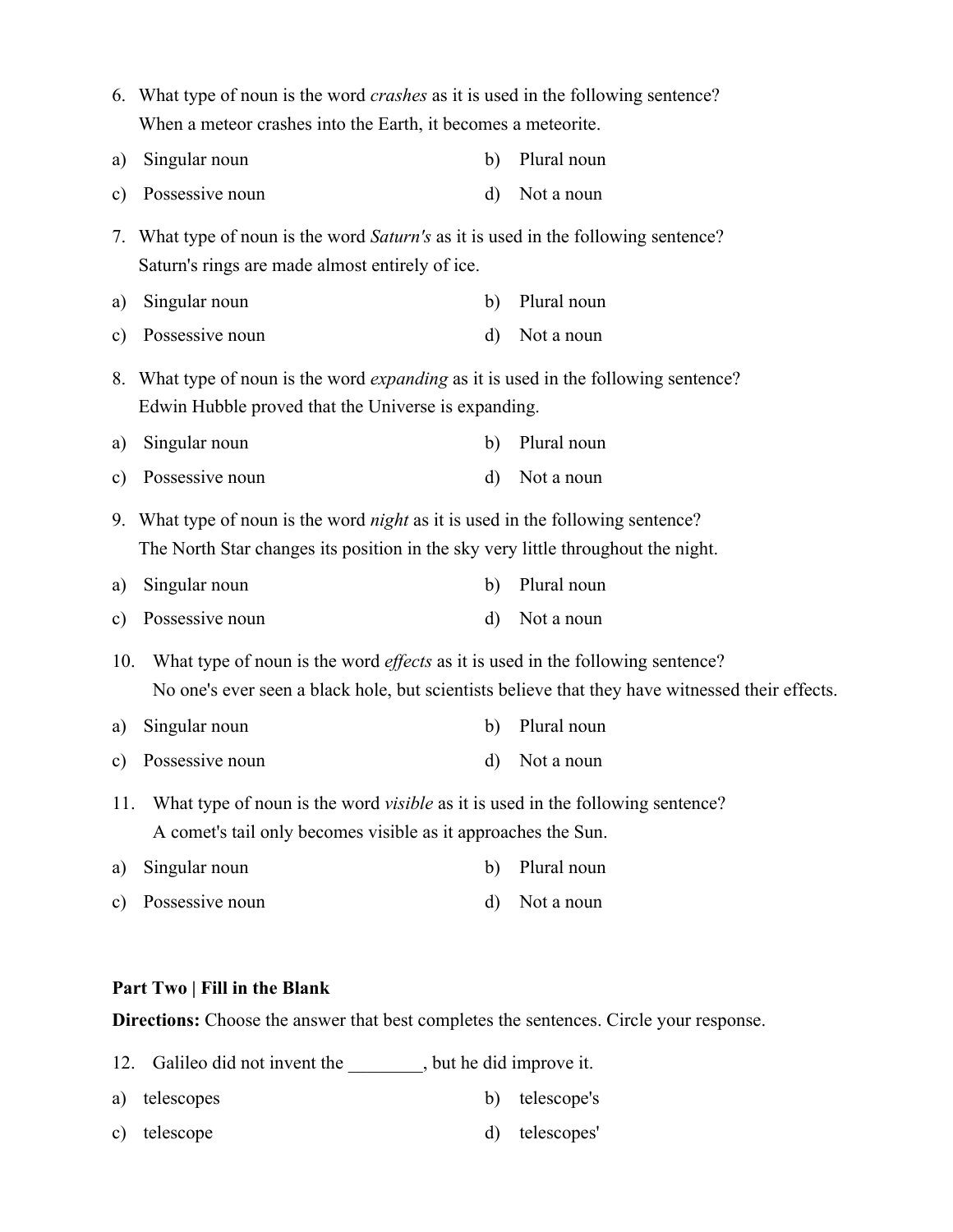|               | 6. What type of noun is the word <i>crashes</i> as it is used in the following sentence?                                                                                                 |    |             |  |  |
|---------------|------------------------------------------------------------------------------------------------------------------------------------------------------------------------------------------|----|-------------|--|--|
|               | When a meteor crashes into the Earth, it becomes a meteorite.                                                                                                                            |    |             |  |  |
| a)            | Singular noun                                                                                                                                                                            | b) | Plural noun |  |  |
| $\mathbf{c})$ | Possessive noun                                                                                                                                                                          | d) | Not a noun  |  |  |
| 7.            | What type of noun is the word Saturn's as it is used in the following sentence?<br>Saturn's rings are made almost entirely of ice.                                                       |    |             |  |  |
| a)            | Singular noun                                                                                                                                                                            | b) | Plural noun |  |  |
| $\mathbf{c})$ | Possessive noun                                                                                                                                                                          | d) | Not a noun  |  |  |
|               | 8. What type of noun is the word <i>expanding</i> as it is used in the following sentence?<br>Edwin Hubble proved that the Universe is expanding.                                        |    |             |  |  |
| a)            | Singular noun                                                                                                                                                                            | b) | Plural noun |  |  |
| $\mathbf{c})$ | Possessive noun                                                                                                                                                                          | d) | Not a noun  |  |  |
|               | 9. What type of noun is the word <i>night</i> as it is used in the following sentence?<br>The North Star changes its position in the sky very little throughout the night.               |    |             |  |  |
| a)            | Singular noun                                                                                                                                                                            | b) | Plural noun |  |  |
| $\mathbf{c})$ | Possessive noun                                                                                                                                                                          | d) | Not a noun  |  |  |
| 10.           | What type of noun is the word <i>effects</i> as it is used in the following sentence?<br>No one's ever seen a black hole, but scientists believe that they have witnessed their effects. |    |             |  |  |
| a)            | Singular noun                                                                                                                                                                            | b) | Plural noun |  |  |
| $\mathbf{c})$ | Possessive noun                                                                                                                                                                          | d) | Not a noun  |  |  |
| 11.           | What type of noun is the word <i>visible</i> as it is used in the following sentence?<br>A comet's tail only becomes visible as it approaches the Sun.                                   |    |             |  |  |
| a)            | Singular noun                                                                                                                                                                            | b) | Plural noun |  |  |
| $\mathbf{c})$ | Possessive noun                                                                                                                                                                          | d) | Not a noun  |  |  |

## **Part Two | Fill in the Blank**

**Directions:** Choose the answer that best completes the sentences. Circle your response.

- 12. Galileo did not invent the \_\_\_\_\_\_\_, but he did improve it.
- a) telescopes b) telescope's c) telescope d) telescopes'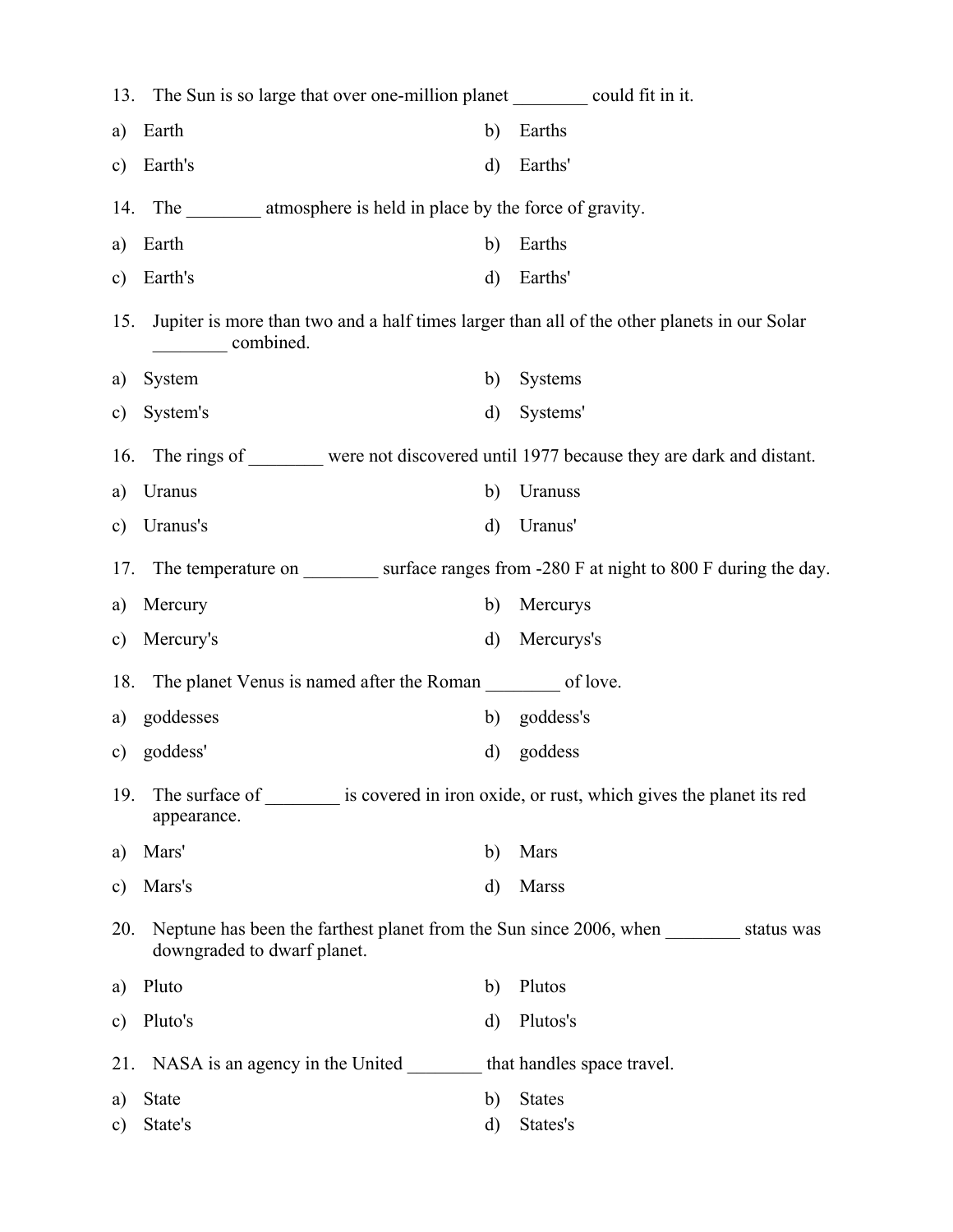|               | 13. The Sun is so large that over one-million planet __________ could fit in it.                                         |              |                |
|---------------|--------------------------------------------------------------------------------------------------------------------------|--------------|----------------|
| a)            | Earth                                                                                                                    | b)           | Earths         |
| $\mathbf{c})$ | Earth's                                                                                                                  | $\rm d)$     | Earths'        |
| 14.           | The __________ atmosphere is held in place by the force of gravity.                                                      |              |                |
| a)            | Earth                                                                                                                    | b)           | Earths         |
| $\mathbf{c})$ | Earth's                                                                                                                  | $\mathbf{d}$ | Earths'        |
| 15.           | Jupiter is more than two and a half times larger than all of the other planets in our Solar<br>combined.                 |              |                |
| a)            | System                                                                                                                   | b)           | <b>Systems</b> |
| $\mathbf{c})$ | System's                                                                                                                 | d)           | Systems'       |
| 16.           | The rings of were not discovered until 1977 because they are dark and distant.                                           |              |                |
| a)            | Uranus                                                                                                                   | b)           | Uranuss        |
| $\mathbf{c})$ | Uranus's                                                                                                                 | d)           | Uranus'        |
| 17.           | The temperature on surface ranges from -280 F at night to 800 F during the day.                                          |              |                |
| a)            | Mercury                                                                                                                  | b)           | Mercurys       |
| $\mathbf{c})$ | Mercury's                                                                                                                | $\mathbf{d}$ | Mercurys's     |
| 18.           | The planet Venus is named after the Roman __________ of love.                                                            |              |                |
| a)            | goddesses                                                                                                                | b)           | goddess's      |
| $\mathbf{c})$ | goddess'                                                                                                                 | d)           | goddess        |
| 19.           | The surface of __________ is covered in iron oxide, or rust, which gives the planet its red<br>appearance.               |              |                |
| a)            | Mars'                                                                                                                    | b)           | Mars           |
| $\mathbf{c})$ | Mars's                                                                                                                   | d)           | <b>Marss</b>   |
| 20.           | Neptune has been the farthest planet from the Sun since 2006, when ___________ status was<br>downgraded to dwarf planet. |              |                |
| a)            | Pluto                                                                                                                    | b)           | Plutos         |
| $\mathbf{c})$ | Pluto's                                                                                                                  | d)           | Plutos's       |
|               | 21. NASA is an agency in the United that handles space travel.                                                           |              |                |
| a)            | <b>State</b>                                                                                                             | b)           | <b>States</b>  |
| c)            | State's                                                                                                                  | d)           | States's       |